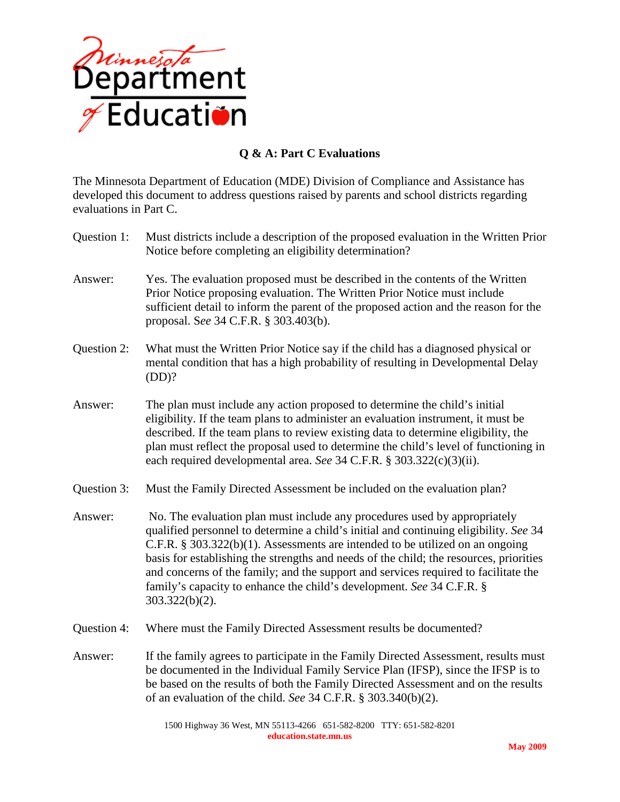

## **Q & A: Part C Evaluations**

The Minnesota Department of Education (MDE) Division of Compliance and Assistance has developed this document to address questions raised by parents and school districts regarding evaluations in Part C.

- Question 1: Must districts include a description of the proposed evaluation in the Written Prior Notice before completing an eligibility determination? Answer: Yes. The evaluation proposed must be described in the contents of the Written Prior Notice proposing evaluation. The Written Prior Notice must include sufficient detail to inform the parent of the proposed action and the reason for the proposal. S*ee* 34 C.F.R. § 303.403(b). Question 2: What must the Written Prior Notice say if the child has a diagnosed physical or mental condition that has a high probability of resulting in Developmental Delay (DD)? Answer: The plan must include any action proposed to determine the child's initial eligibility. If the team plans to administer an evaluation instrument, it must be described. If the team plans to review existing data to determine eligibility, the plan must reflect the proposal used to determine the child's level of functioning in each required developmental area. *See* 34 C.F.R. § 303.322(c)(3)(ii). Question 3: Must the Family Directed Assessment be included on the evaluation plan? Answer: No. The evaluation plan must include any procedures used by appropriately qualified personnel to determine a child's initial and continuing eligibility. *See* 34 C.F.R. § 303.322(b)(1). Assessments are intended to be utilized on an ongoing basis for establishing the strengths and needs of the child; the resources, priorities and concerns of the family; and the support and services required to facilitate the family's capacity to enhance the child's development. *See* 34 C.F.R. § 303.322(b)(2). Question 4: Where must the Family Directed Assessment results be documented?
- Answer: If the family agrees to participate in the Family Directed Assessment, results must be documented in the Individual Family Service Plan (IFSP), since the IFSP is to be based on the results of both the Family Directed Assessment and on the results of an evaluation of the child. *See* 34 C.F.R. § 303.340(b)(2).

1500 Highway 36 West, MN 55113-4266 651-582-8200 TTY: 651-582-8201 **education.state.mn.us**